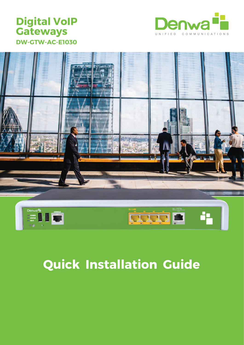## **Digital VoIP Gateways DW-GTW-AC-E1030**





# **Quick Installation Guide**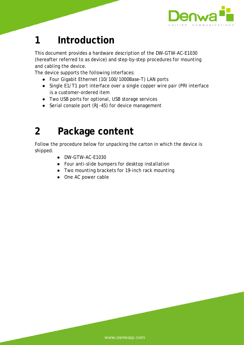

## **1 Introduction**

This document provides a hardware description of the DW-GTW-AC-E1030 (hereafter referred to as *device*) and step-by-step procedures for mounting and cabling the device.

The device supports the following interfaces:

- Four Gigabit Ethernet (10/100/1000Base-T) LAN ports
- Single E1/T1 port interface over a single copper wire pair (PRI interface is a customer-ordered item
- Two USB ports for optional, USB storage services
- Serial console port (RJ-45) for device management

## **2 Package content**

Follow the procedure below for unpacking the carton in which the device is shipped.

- DW-GTW-AC-E1030
- Four anti-slide bumpers for desktop installation
- Two mounting brackets for 19-inch rack mounting
- One AC power cable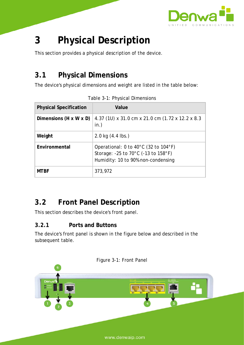

## **3 Physical Description**

This section provides a physical description of the device.

## **3.1 Physical Dimensions**

The device's physical dimensions and weight are listed in the table below:

| <b>Physical Specification</b>      | Value                                                                                                                                   |  |
|------------------------------------|-----------------------------------------------------------------------------------------------------------------------------------------|--|
| Dimensions $(H \times W \times D)$ | 4.37 (10) x 31.0 cm x 21.0 cm (1.72 x 12.2 x 8.3<br>in.)                                                                                |  |
| Weight                             | $2.0 \text{ kg}$ (4.4 lbs.)                                                                                                             |  |
| Environmental                      | Operational: 0 to 40 $^{\circ}$ C (32 to 104 $^{\circ}$ F)<br>Storage: -25 to 70°C (-13 to 158°F)<br>Humidity: 10 to 90% non-condensing |  |
| <b>MTBF</b>                        | 373,972                                                                                                                                 |  |

Table 3-1: Physical Dimensions

## **3.2 Front Panel Description**

This section describes the device's front panel.

### **3.2.1 Ports and Buttons**

The device's front panel is shown in the figure below and described in the subsequent table.



Figure 3-1: Front Panel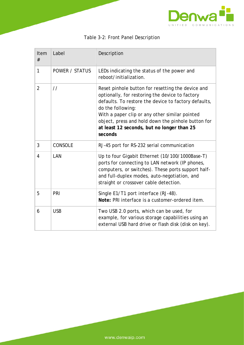

| Item<br>#      | Label                 | Description                                                                                                                                                                                                                                                                                                                                        |
|----------------|-----------------------|----------------------------------------------------------------------------------------------------------------------------------------------------------------------------------------------------------------------------------------------------------------------------------------------------------------------------------------------------|
| 1              | <b>POWER / STATUS</b> | LEDs indicating the status of the power and<br>reboot/initialization.                                                                                                                                                                                                                                                                              |
| $\overline{2}$ | $\frac{1}{2}$         | Reset pinhole button for resetting the device and<br>optionally, for restoring the device to factory<br>defaults. To restore the device to factory defaults,<br>do the following:<br>With a paper clip or any other similar pointed<br>object, press and hold down the pinhole button for<br>at least 12 seconds, but no longer than 25<br>seconds |
| 3              | <b>CONSOLE</b>        | RJ-45 port for RS-232 serial communication                                                                                                                                                                                                                                                                                                         |
| 4              | LAN                   | Up to four Gigabit Ethernet (10/100/1000Base-T)<br>ports for connecting to LAN network (IP phones,<br>computers, or switches). These ports support half-<br>and full-duplex modes, auto-negotiation, and<br>straight or crossover cable detection.                                                                                                 |
| 5              | PRI                   | Single E1/T1 port interface (RJ-48).<br>Note: PRI interface is a customer-ordered item.                                                                                                                                                                                                                                                            |
| 6              | <b>USB</b>            | Two USB 2.0 ports, which can be used, for<br>example, for various storage capabilities using an<br>external USB hard drive or flash disk (disk on key).                                                                                                                                                                                            |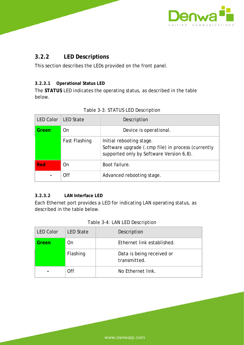

### **3.2.2 LED Descriptions**

This section describes the LEDs provided on the front panel.

### **3.2.3.1 Operational Status LED**

The **STATUS** LED indicates the operating status, as described in the table below.

| <b>LED Color</b> | <b>LED State</b> | Description                                                                                                                |
|------------------|------------------|----------------------------------------------------------------------------------------------------------------------------|
| Green            | 0n               | Device is operational.                                                                                                     |
|                  | Fast Flashing    | Initial rebooting stage.<br>Software upgrade (.cmp file) in process (currently<br>supported only by Software Version 6.8). |
| Red              | On               | Boot failure.                                                                                                              |
|                  | Off              | Advanced rebooting stage.                                                                                                  |

### Table 3-3: STATUS LED Description

### **3.2.3.2 LAN Interface LED**

Each Ethernet port provides a LED for indicating LAN operating status, as described in the table below.

| <b>LED Color</b> | <b>LED State</b> | Description                               |
|------------------|------------------|-------------------------------------------|
| Green            | On               | Ethernet link established.                |
|                  | Flashing         | Data is being received or<br>transmitted. |
|                  | 0ff              | No Ethernet link.                         |

### Table 3-4: LAN LED Description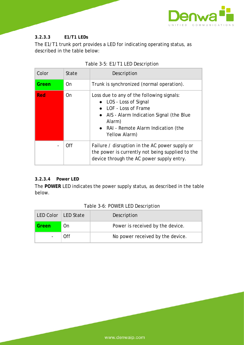

#### **3.2.3.3 E1/T1 LEDs**

The E1/T1 trunk port provides a LED for indicating operating status, as described in the table below:

| Color      | <b>State</b> | Description                                                                                                                                                                                                  |
|------------|--------------|--------------------------------------------------------------------------------------------------------------------------------------------------------------------------------------------------------------|
| Green      | On           | Trunk is synchronized (normal operation).                                                                                                                                                                    |
| <b>Red</b> | On           | Loss due to any of the following signals:<br>• LOS - Loss of Signal<br>• LOF - Loss of Frame<br>• AIS - Alarm Indication Signal (the Blue<br>Alarm)<br>• RAI - Remote Alarm Indication (the<br>Yellow Alarm) |
|            | <b>Off</b>   | Failure / disruption in the AC power supply or<br>the power is currently not being supplied to the<br>device through the AC power supply entry.                                                              |

### Table 3-5: E1/T1 LED Description

### **3.2.3.4 Power LED**

The **POWER** LED indicates the power supply status, as described in the table below.

| LED Color   LED State |     | Description                      |
|-----------------------|-----|----------------------------------|
| Green                 | On. | Power is received by the device. |
|                       | ∩ff | No power received by the device. |

### Table 3-6: POWER LED Description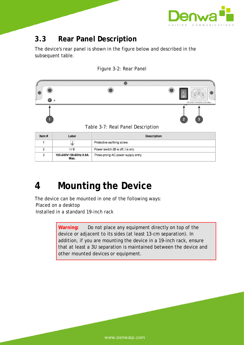

## **3.3 Rear Panel Description**

The device's rear panel is shown in the figure below and described in the subsequent table.





Table 3-7: Real Panel Description

| Item# | Label                         | <b>Description</b>                 |
|-------|-------------------------------|------------------------------------|
|       |                               | Protective earthing screw.         |
|       | 17 O                          | Power switch (O is off; I is on).  |
| ٩     | 100-240V~50-60Hz 0.8A<br>Max. | Three-prong AC power supply entry. |

## **4 Mounting the Device**

The device can be mounted in one of the following ways: Placed on a desktop Installed in a standard 19-inch rack

> Warning: Do not place any equipment directly on top of the device or adjacent to its sides (at least 13-cm separation). In addition, if you are mounting the device in a 19-inch rack, ensure that at least a 3U separation is maintained between the device and other mounted devices or equipment.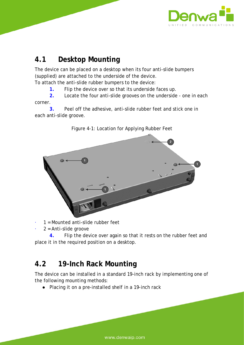

## **4.1 Desktop Mounting**

The device can be placed on a desktop when its four anti-slide bumpers (supplied) are attached to the underside of the device. To attach the anti-slide rubber bumpers to the device:

**1.** Flip the device over so that its underside faces up.

**2.** Locate the four anti-slide grooves on the underside - one in each corner.

**3.** Peel off the adhesive, anti-slide rubber feet and stick one in each anti-slide groove.



Figure 4-1: Location for Applying Rubber Feet

- $1 =$  Mounted anti-slide rubber feet
- $2$  = Anti-slide groove

**4.** Flip the device over again so that it rests on the rubber feet and place it in the required position on a desktop.

## **4.2 19-Inch Rack Mounting**

The device can be installed in a standard 19-inch rack by implementing one of the following mounting methods:

● Placing it on a pre-installed shelf in a 19-inch rack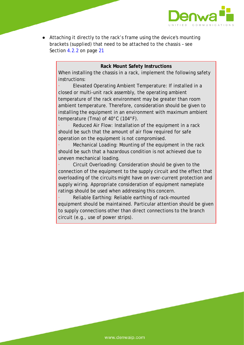

● Attaching it directly to the rack's frame using the device's mounting brackets (supplied) that need to be attached to the chassis – see Section 4.2.2 on page 21

#### **Rack Mount Safety Instructions**

When installing the chassis in a rack, implement the following safety instructions:

Elevated Operating Ambient Temperature: If installed in a closed or multi-unit rack assembly, the operating ambient temperature of the rack environment may be greater than room ambient temperature. Therefore, consideration should be given to installing the equipment in an environment with maximum ambient temperature (Tma) of 40°C (104°F).

Reduced Air Flow: Installation of the equipment in a rack should be such that the amount of air flow required for safe operation on the equipment is not compromised.

Mechanical Loading: Mounting of the equipment in the rack should be such that a hazardous condition is not achieved due to uneven mechanical loading.

Circuit Overloading: Consideration should be given to the connection of the equipment to the supply circuit and the effect that overloading of the circuits might have on over-current protection and supply wiring. Appropriate consideration of equipment nameplate ratings should be used when addressing this concern.

Reliable Earthing: Reliable earthing of rack-mounted equipment should be maintained. Particular attention should be given to supply connections other than direct connections to the branch circuit (e.g., use of power strips).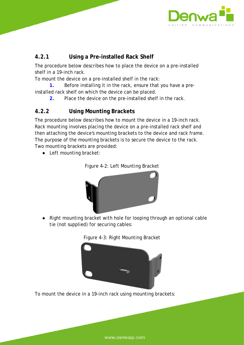

### **4.2.1 Using a Pre-installed Rack Shelf**

The procedure below describes how to place the device on a pre-installed shelf in a 19-inch rack.

To mount the device on a pre-installed shelf in the rack:

**1.** Before installing it in the rack, ensure that you have a preinstalled rack shelf on which the device can be placed.

- 
- **2.** Place the device on the pre-installed shelf in the rack.

### **4.2.2 Using Mounting Brackets**

The procedure below describes how to mount the device in a 19-inch rack. Rack mounting involves placing the device on a pre-installed rack shelf and then attaching the device's mounting brackets to the device and rack frame. The purpose of the mounting brackets is to secure the device to the rack. Two mounting brackets are provided:

● Left mounting bracket:



Figure 4-2: Left Mounting Bracket

● Right mounting bracket with hole for looping through an optional cable tie (not supplied) for securing cables:



To mount the device in a 19-inch rack using mounting brackets: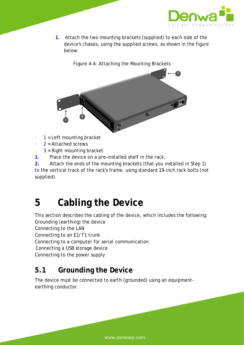

**1.** Attach the two mounting brackets (supplied) to each side of the device's chassis, using the supplied screws, as shown in the figure below:





- $1 =$  Left mounting bracket
- $2$  = Attached screws
- $3$  = Right mounting bracket
- **1.** Place the device on a pre-installed shelf in the rack.
- **2.** Attach the ends of the mounting brackets (that you installed in Step 1)

to the vertical track of the rack's frame, using standard 19-inch rack bolts (not supplied).

## **5 Cabling the Device**

This section describes the cabling of the device, which includes the following: Grounding (earthing) the device Connecting to the LAN Connecting to an E1/T1 trunk Connecting to a computer for serial communication Connecting a USB storage device Connecting to the power supply

## **5.1 Grounding the Device**

The device must be connected to earth (grounded) using an equipmentearthing conductor.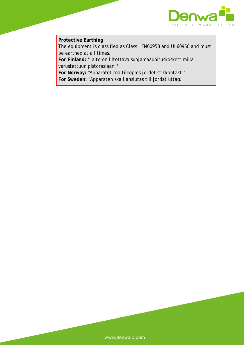

### **Protective Earthing**

The equipment is classified as Class I EN60950 and UL60950 and must be earthed at all times.

**For Finland:** "Laite on liltettava suojamaadoituskoskettimilla varustettuun pistorasiaan."

**For Norway:** "Apparatet rna tilkoples jordet stikkontakt." **For Sweden:** "Apparaten skall anslutas till jordat uttag."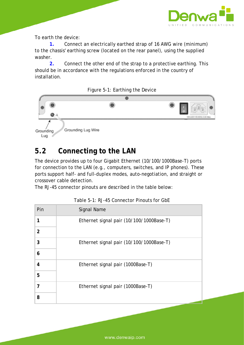

To earth the device:

**1.** Connect an electrically earthed strap of 16 AWG wire (minimum) to the chassis' earthing screw (located on the rear panel), using the supplied washer.

**2.** Connect the other end of the strap to a protective earthing. This should be in accordance with the regulations enforced in the country of installation.





## **5.2 Connecting to the LAN**

The device provides up to four Gigabit Ethernet (10/100/1000Base-T) ports for connection to the LAN (e.g., computers, switches, and IP phones). These ports support half- and full-duplex modes, auto-negotiation, and straight or crossover cable detection.

The RJ-45 connector pinouts are described in the table below:

| Pin            | <b>Signal Name</b>                       |
|----------------|------------------------------------------|
| 1              | Ethernet signal pair (10/100/1000Base-T) |
| $\overline{2}$ |                                          |
| 3              | Ethernet signal pair (10/100/1000Base-T) |
| 6              |                                          |
| 4              | Ethernet signal pair (1000Base-T)        |
| 5              |                                          |
| 7              | Ethernet signal pair (1000Base-T)        |
| 8              |                                          |

Table 5-1: RJ-45 Connector Pinouts for GbE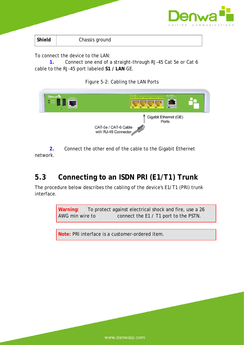

| Shield | Chassis ground |  |
|--------|----------------|--|
|--------|----------------|--|

To connect the device to the LAN:

**1.** Connect one end of a straight-through RJ-45 Cat 5e or Cat 6 cable to the RJ-45 port labeled **S1 / LAN** GE.





**2.** Connect the other end of the cable to the Gigabit Ethernet network.

## **5.3 Connecting to an ISDN PRI (E1/T1) Trunk**

The procedure below describes the cabling of the device's E1/T1 (PRI) trunk interface.

> **Warning:** To protect against electrical shock and fire, use a 26 AWG min wire to connect the E1 / T1 port to the PSTN.

**Note:** PRI interface is a customer-ordered item.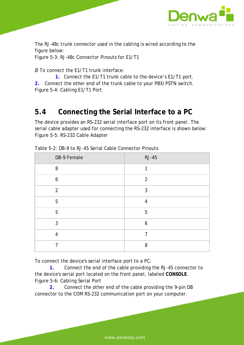

The RJ-48c trunk connector used in the cabling is wired according to the figure below:

Figure 5-3: RJ-48c Connector Pinouts for E1/T1

Ø To connect the E1/T1 trunk interface:

**1.** Connect the E1/T1 trunk cable to the device's E1/T1 port. **2.** Connect the other end of the trunk cable to your PBX/PSTN switch. Figure 5-4: Cabling E1/T1 Port

### **5.4 Connecting the Serial Interface to a PC**

The device provides an RS-232 serial interface port on its front panel. The serial cable adapter used for connecting the RS-232 interface is shown below: Figure 5-5: RS-232 Cable Adapter

| DB-9 Female    | <b>RJ-45</b>   |
|----------------|----------------|
| 8              | 1              |
| 6              | $\overline{2}$ |
| $\overline{2}$ | 3              |
| 5              | $\overline{4}$ |
| 5              | 5              |
| 3              | 6              |
| $\overline{4}$ | 7              |
| 7              | 8              |

Table 5-2: DB-9 to RJ-45 Serial Cable Connector Pinouts

To connect the device's serial interface port to a PC:

**1.** Connect the end of the cable providing the RJ-45 connector to the device's serial port located on the front panel, labeled **CONSOLE**. Figure 5-6: Cabling Serial Port

**2.** Connect the other end of the cable providing the 9-pin DB connector to the COM RS-232 communication port on your computer.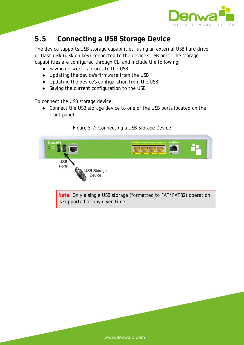

### **5.5 Connecting a USB Storage Device**

The device supports USB storage capabilities, using an external USB hard drive or flash disk (disk on key) connected to the device's USB port. The storage capabilities are configured through CLI and include the following:

- Saving network captures to the USB
- Updating the device's firmware from the USB
- Updating the device's configuration from the USB
- Saving the current configuration to the USB

To connect the USB storage device:

● Connect the USB storage device to one of the USB ports located on the front panel.



### Figure 5-7: Connecting a USB Storage Device

**Note:** Only a single USB storage (formatted to FAT/FAT32) operation is supported at any given time.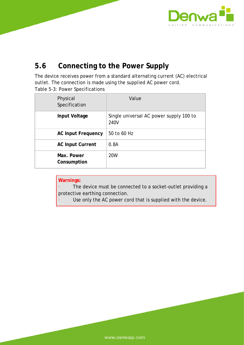

## **5.6 Connecting to the Power Supply**

The device receives power from a standard alternating current (AC) electrical outlet. The connection is made using the supplied AC power cord. Table 5-3: Power Specifications

| Physical<br>Specification | Value                                           |
|---------------------------|-------------------------------------------------|
| Input Voltage             | Single universal AC power supply 100 to<br>240V |
| <b>AC Input Frequency</b> | 50 to 60 Hz                                     |
| <b>AC Input Current</b>   | 0.8A                                            |
| Max. Power<br>Consumption | <b>20W</b>                                      |

| Warnings:                                                                     |
|-------------------------------------------------------------------------------|
| The device must be connected to a socket-outlet providing a<br><b>Service</b> |
| protective earthing connection.                                               |

Use only the AC power cord that is supplied with the device.